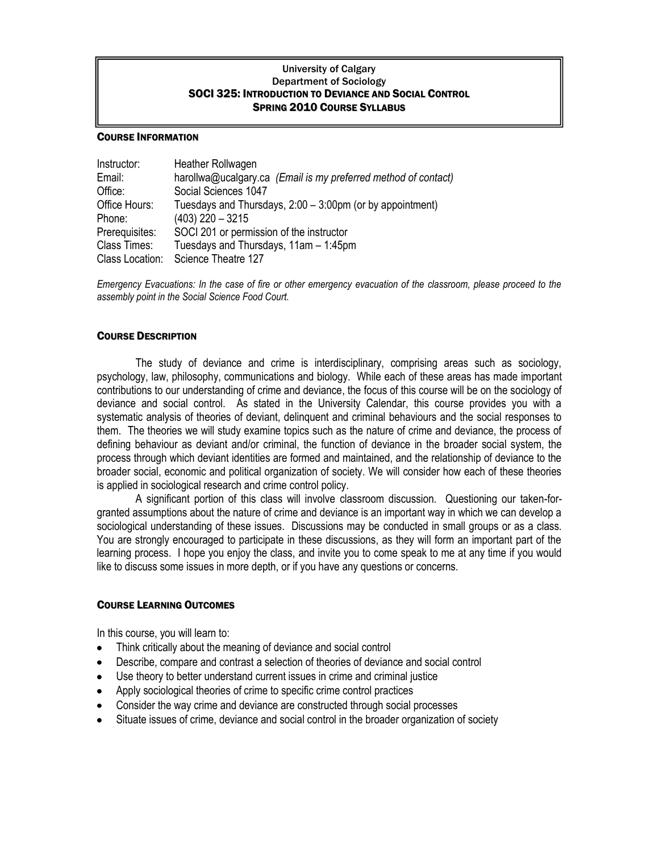## University of Calgary Department of Sociology SOCI 325: INTRODUCTION TO DEVIANCE AND SOCIAL CONTROL SPRING 2010 COURSE SYLLABUS

#### COURSE INFORMATION

| Instructor:     | Heather Rollwagen                                              |  |  |  |
|-----------------|----------------------------------------------------------------|--|--|--|
| Email:          | harollwa@ucalgary.ca (Email is my preferred method of contact) |  |  |  |
| Office:         | Social Sciences 1047                                           |  |  |  |
| Office Hours:   | Tuesdays and Thursdays, 2:00 - 3:00pm (or by appointment)      |  |  |  |
| Phone:          | $(403)$ 220 - 3215                                             |  |  |  |
| Prerequisites:  | SOCI 201 or permission of the instructor                       |  |  |  |
| Class Times:    | Tuesdays and Thursdays, 11am - 1:45pm                          |  |  |  |
| Class Location: | Science Theatre 127                                            |  |  |  |

*Emergency Evacuations: In the case of fire or other emergency evacuation of the classroom, please proceed to the assembly point in the Social Science Food Court.*

#### COURSE DESCRIPTION

The study of deviance and crime is interdisciplinary, comprising areas such as sociology, psychology, law, philosophy, communications and biology. While each of these areas has made important contributions to our understanding of crime and deviance, the focus of this course will be on the sociology of deviance and social control. As stated in the University Calendar, this course provides you with a systematic analysis of theories of deviant, delinquent and criminal behaviours and the social responses to them. The theories we will study examine topics such as the nature of crime and deviance, the process of defining behaviour as deviant and/or criminal, the function of deviance in the broader social system, the process through which deviant identities are formed and maintained, and the relationship of deviance to the broader social, economic and political organization of society. We will consider how each of these theories is applied in sociological research and crime control policy.

A significant portion of this class will involve classroom discussion. Questioning our taken-forgranted assumptions about the nature of crime and deviance is an important way in which we can develop a sociological understanding of these issues. Discussions may be conducted in small groups or as a class. You are strongly encouraged to participate in these discussions, as they will form an important part of the learning process. I hope you enjoy the class, and invite you to come speak to me at any time if you would like to discuss some issues in more depth, or if you have any questions or concerns.

## COURSE LEARNING OUTCOMES

In this course, you will learn to:

- Think critically about the meaning of deviance and social control
- Describe, compare and contrast a selection of theories of deviance and social control
- Use theory to better understand current issues in crime and criminal justice
- Apply sociological theories of crime to specific crime control practices
- Consider the way crime and deviance are constructed through social processes
- Situate issues of crime, deviance and social control in the broader organization of society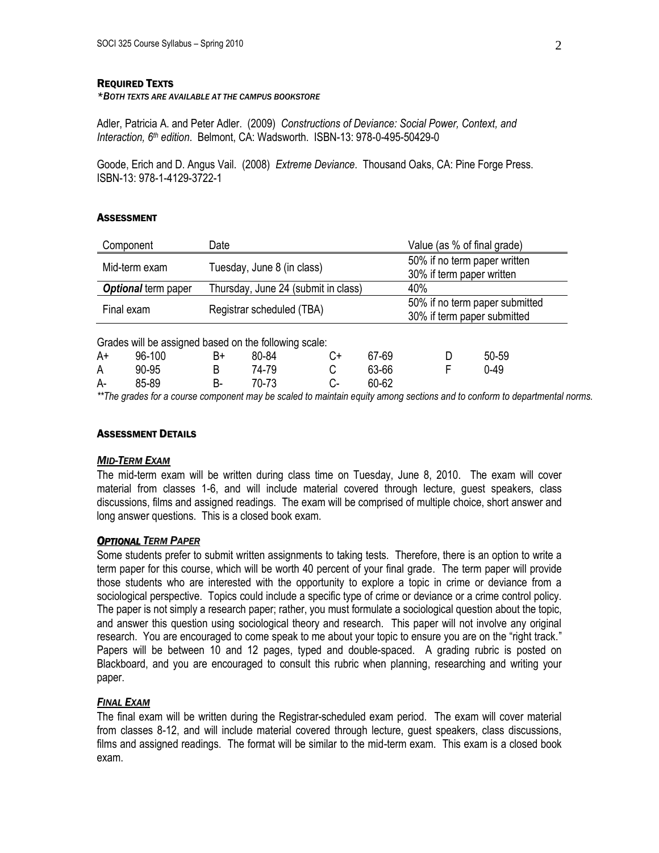#### REQUIRED TEXTS

#### *\*BOTH TEXTS ARE AVAILABLE AT THE CAMPUS BOOKSTORE*

Adler, Patricia A. and Peter Adler. (2009) *Constructions of Deviance: Social Power, Context, and Interaction, 6th edition*. Belmont, CA: Wadsworth. ISBN-13: 978-0-495-50429-0

Goode, Erich and D. Angus Vail. (2008) *Extreme Deviance*. Thousand Oaks, CA: Pine Forge Press. ISBN-13: 978-1-4129-3722-1

#### **ASSESSMENT**

|                                                       | Component           | Date                                |       |    |                                                           |                                                               | Value (as % of final grade) |          |  |
|-------------------------------------------------------|---------------------|-------------------------------------|-------|----|-----------------------------------------------------------|---------------------------------------------------------------|-----------------------------|----------|--|
|                                                       | Mid-term exam       | Tuesday, June 8 (in class)          |       |    | 50% if no term paper written<br>30% if term paper written |                                                               |                             |          |  |
|                                                       | Optional term paper | Thursday, June 24 (submit in class) |       |    |                                                           |                                                               | 40%                         |          |  |
| Final exam                                            |                     | Registrar scheduled (TBA)           |       |    |                                                           | 50% if no term paper submitted<br>30% if term paper submitted |                             |          |  |
| Grades will be assigned based on the following scale: |                     |                                     |       |    |                                                           |                                                               |                             |          |  |
| A+                                                    | 96-100              | B+                                  | 80-84 | C+ |                                                           | 67-69                                                         | D                           | 50-59    |  |
| A                                                     | 90-95               | B                                   | 74-79 | С  |                                                           | 63-66                                                         | F                           | $0 - 49$ |  |
| A-                                                    | 85-89               | B-                                  | 70-73 | C- |                                                           | 60-62                                                         |                             |          |  |

*\*\*The grades for a course component may be scaled to maintain equity among sections and to conform to departmental norms.*

# ASSESSMENT DETAILS

#### *MID-TERM EXAM*

The mid-term exam will be written during class time on Tuesday, June 8, 2010. The exam will cover material from classes 1-6, and will include material covered through lecture, guest speakers, class discussions, films and assigned readings. The exam will be comprised of multiple choice, short answer and long answer questions. This is a closed book exam.

#### *OPTIONAL TERM PAPER*

Some students prefer to submit written assignments to taking tests. Therefore, there is an option to write a term paper for this course, which will be worth 40 percent of your final grade. The term paper will provide those students who are interested with the opportunity to explore a topic in crime or deviance from a sociological perspective. Topics could include a specific type of crime or deviance or a crime control policy. The paper is not simply a research paper; rather, you must formulate a sociological question about the topic, and answer this question using sociological theory and research. This paper will not involve any original research. You are encouraged to come speak to me about your topic to ensure you are on the "right track." Papers will be between 10 and 12 pages, typed and double-spaced. A grading rubric is posted on Blackboard, and you are encouraged to consult this rubric when planning, researching and writing your paper.

## *FINAL EXAM*

The final exam will be written during the Registrar-scheduled exam period. The exam will cover material from classes 8-12, and will include material covered through lecture, guest speakers, class discussions, films and assigned readings. The format will be similar to the mid-term exam. This exam is a closed book exam.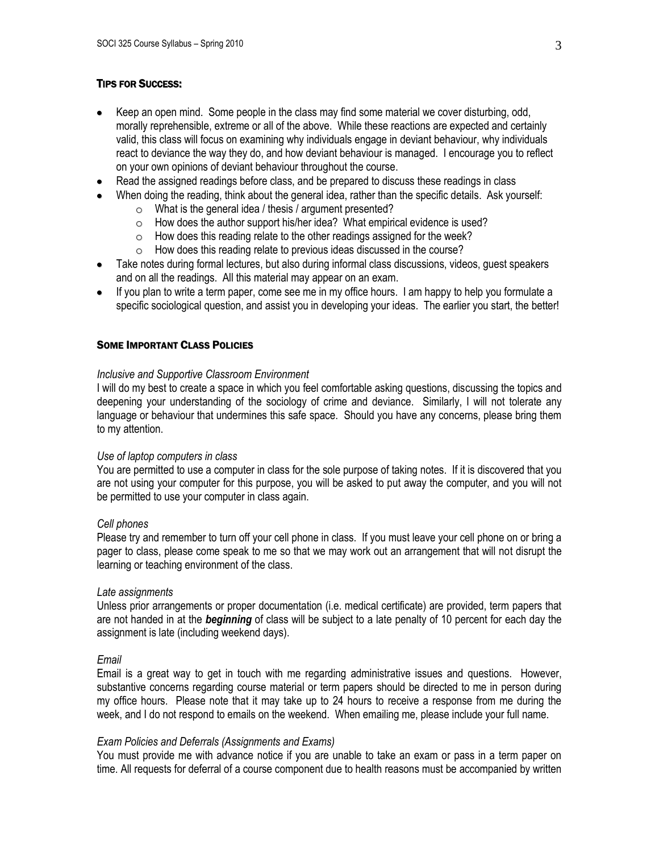# TIPS FOR SUCCESS:

- Keep an open mind. Some people in the class may find some material we cover disturbing, odd, morally reprehensible, extreme or all of the above. While these reactions are expected and certainly valid, this class will focus on examining why individuals engage in deviant behaviour, why individuals react to deviance the way they do, and how deviant behaviour is managed. I encourage you to reflect on your own opinions of deviant behaviour throughout the course.
- Read the assigned readings before class, and be prepared to discuss these readings in class
- When doing the reading, think about the general idea, rather than the specific details. Ask yourself:
	- o What is the general idea / thesis / argument presented?
	- o How does the author support his/her idea? What empirical evidence is used?
	- o How does this reading relate to the other readings assigned for the week?
	- o How does this reading relate to previous ideas discussed in the course?
- Take notes during formal lectures, but also during informal class discussions, videos, guest speakers and on all the readings. All this material may appear on an exam.
- If you plan to write a term paper, come see me in my office hours. I am happy to help you formulate a specific sociological question, and assist you in developing your ideas. The earlier you start, the better!

## SOME IMPORTANT CLASS POLICIES

## *Inclusive and Supportive Classroom Environment*

I will do my best to create a space in which you feel comfortable asking questions, discussing the topics and deepening your understanding of the sociology of crime and deviance. Similarly, I will not tolerate any language or behaviour that undermines this safe space. Should you have any concerns, please bring them to my attention.

## *Use of laptop computers in class*

You are permitted to use a computer in class for the sole purpose of taking notes. If it is discovered that you are not using your computer for this purpose, you will be asked to put away the computer, and you will not be permitted to use your computer in class again.

## *Cell phones*

Please try and remember to turn off your cell phone in class. If you must leave your cell phone on or bring a pager to class, please come speak to me so that we may work out an arrangement that will not disrupt the learning or teaching environment of the class.

## *Late assignments*

Unless prior arrangements or proper documentation (i.e. medical certificate) are provided, term papers that are not handed in at the *beginning* of class will be subject to a late penalty of 10 percent for each day the assignment is late (including weekend days).

## *Email*

Email is a great way to get in touch with me regarding administrative issues and questions. However, substantive concerns regarding course material or term papers should be directed to me in person during my office hours. Please note that it may take up to 24 hours to receive a response from me during the week, and I do not respond to emails on the weekend. When emailing me, please include your full name.

## *Exam Policies and Deferrals (Assignments and Exams)*

You must provide me with advance notice if you are unable to take an exam or pass in a term paper on time. All requests for deferral of a course component due to health reasons must be accompanied by written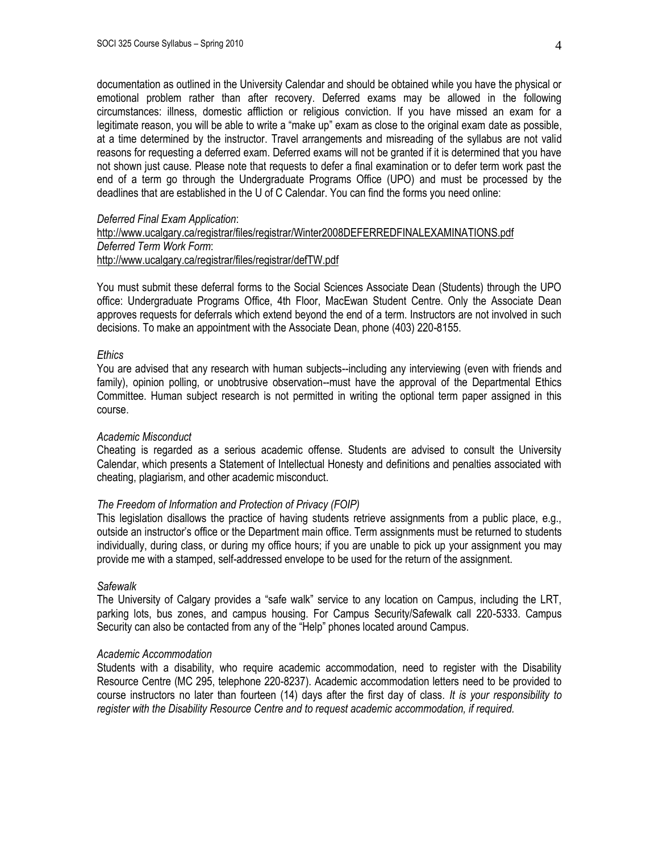documentation as outlined in the University Calendar and should be obtained while you have the physical or emotional problem rather than after recovery. Deferred exams may be allowed in the following circumstances: illness, domestic affliction or religious conviction. If you have missed an exam for a legitimate reason, you will be able to write a "make up" exam as close to the original exam date as possible, at a time determined by the instructor. Travel arrangements and misreading of the syllabus are not valid reasons for requesting a deferred exam. Deferred exams will not be granted if it is determined that you have not shown just cause. Please note that requests to defer a final examination or to defer term work past the end of a term go through the Undergraduate Programs Office (UPO) and must be processed by the deadlines that are established in the U of C Calendar. You can find the forms you need online:

## *Deferred Final Exam Application*:

# <http://www.ucalgary.ca/registrar/files/registrar/Winter2008DEFERREDFINALEXAMINATIONS.pdf> *Deferred Term Work Form*: <http://www.ucalgary.ca/registrar/files/registrar/defTW.pdf>

You must submit these deferral forms to the Social Sciences Associate Dean (Students) through the UPO office: Undergraduate Programs Office, 4th Floor, MacEwan Student Centre. Only the Associate Dean approves requests for deferrals which extend beyond the end of a term. Instructors are not involved in such decisions. To make an appointment with the Associate Dean, phone (403) 220-8155.

## *Ethics*

You are advised that any research with human subjects--including any interviewing (even with friends and family), opinion polling, or unobtrusive observation--must have the approval of the Departmental Ethics Committee. Human subject research is not permitted in writing the optional term paper assigned in this course.

## *Academic Misconduct*

Cheating is regarded as a serious academic offense. Students are advised to consult the University Calendar, which presents a Statement of Intellectual Honesty and definitions and penalties associated with cheating, plagiarism, and other academic misconduct.

## *The Freedom of Information and Protection of Privacy (FOIP)*

This legislation disallows the practice of having students retrieve assignments from a public place, e.g., outside an instructor's office or the Department main office. Term assignments must be returned to students individually, during class, or during my office hours; if you are unable to pick up your assignment you may provide me with a stamped, self-addressed envelope to be used for the return of the assignment.

## *Safewalk*

The University of Calgary provides a "safe walk" service to any location on Campus, including the LRT, parking lots, bus zones, and campus housing. For Campus Security/Safewalk call 220-5333. Campus Security can also be contacted from any of the "Help" phones located around Campus.

## *Academic Accommodation*

Students with a disability, who require academic accommodation, need to register with the Disability Resource Centre (MC 295, telephone 220-8237). Academic accommodation letters need to be provided to course instructors no later than fourteen (14) days after the first day of class. *It is your responsibility to register with the Disability Resource Centre and to request academic accommodation, if required.*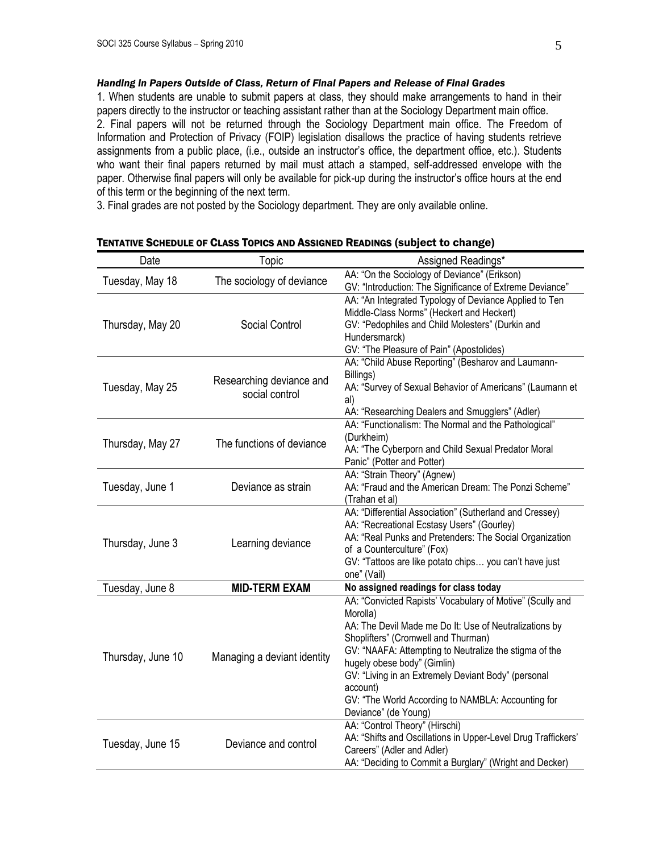## *Handing in Papers Outside of Class, Return of Final Papers and Release of Final Grades*

1. When students are unable to submit papers at class, they should make arrangements to hand in their papers directly to the instructor or teaching assistant rather than at the Sociology Department main office. 2. Final papers will not be returned through the Sociology Department main office. The Freedom of Information and Protection of Privacy (FOIP) legislation disallows the practice of having students retrieve assignments from a public place, (i.e., outside an instructor's office, the department office, etc.). Students who want their final papers returned by mail must attach a stamped, self-addressed envelope with the paper. Otherwise final papers will only be available for pick-up during the instructor's office hours at the end of this term or the beginning of the next term.

3. Final grades are not posted by the Sociology department. They are only available online.

| Date              | Topic                                      | Assigned Readings*                                                                                                                                                                                                                                                                                                                                                                                               |
|-------------------|--------------------------------------------|------------------------------------------------------------------------------------------------------------------------------------------------------------------------------------------------------------------------------------------------------------------------------------------------------------------------------------------------------------------------------------------------------------------|
| Tuesday, May 18   | The sociology of deviance                  | AA: "On the Sociology of Deviance" (Erikson)<br>GV: "Introduction: The Significance of Extreme Deviance"                                                                                                                                                                                                                                                                                                         |
| Thursday, May 20  | Social Control                             | AA: "An Integrated Typology of Deviance Applied to Ten<br>Middle-Class Norms" (Heckert and Heckert)<br>GV: "Pedophiles and Child Molesters" (Durkin and<br>Hundersmarck)<br>GV: "The Pleasure of Pain" (Apostolides)                                                                                                                                                                                             |
| Tuesday, May 25   | Researching deviance and<br>social control | AA: "Child Abuse Reporting" (Besharov and Laumann-<br>Billings)<br>AA: "Survey of Sexual Behavior of Americans" (Laumann et<br>al)<br>AA: "Researching Dealers and Smugglers" (Adler)                                                                                                                                                                                                                            |
| Thursday, May 27  | The functions of deviance                  | AA: "Functionalism: The Normal and the Pathological"<br>(Durkheim)<br>AA: "The Cyberporn and Child Sexual Predator Moral<br>Panic" (Potter and Potter)                                                                                                                                                                                                                                                           |
| Tuesday, June 1   | Deviance as strain                         | AA: "Strain Theory" (Agnew)<br>AA: "Fraud and the American Dream: The Ponzi Scheme"<br>(Trahan et al)                                                                                                                                                                                                                                                                                                            |
| Thursday, June 3  | Learning deviance                          | AA: "Differential Association" (Sutherland and Cressey)<br>AA: "Recreational Ecstasy Users" (Gourley)<br>AA: "Real Punks and Pretenders: The Social Organization<br>of a Counterculture" (Fox)<br>GV: "Tattoos are like potato chips you can't have just<br>one" (Vail)                                                                                                                                          |
| Tuesday, June 8   | <b>MID-TERM EXAM</b>                       | No assigned readings for class today                                                                                                                                                                                                                                                                                                                                                                             |
| Thursday, June 10 | Managing a deviant identity                | AA: "Convicted Rapists' Vocabulary of Motive" (Scully and<br>Morolla)<br>AA: The Devil Made me Do It: Use of Neutralizations by<br>Shoplifters" (Cromwell and Thurman)<br>GV: "NAAFA: Attempting to Neutralize the stigma of the<br>hugely obese body" (Gimlin)<br>GV: "Living in an Extremely Deviant Body" (personal<br>account)<br>GV: "The World According to NAMBLA: Accounting for<br>Deviance" (de Young) |
| Tuesday, June 15  | Deviance and control                       | AA: "Control Theory" (Hirschi)<br>AA: "Shifts and Oscillations in Upper-Level Drug Traffickers'<br>Careers" (Adler and Adler)<br>AA: "Deciding to Commit a Burglary" (Wright and Decker)                                                                                                                                                                                                                         |

TENTATIVE SCHEDULE OF CLASS TOPICS AND ASSIGNED READINGS (subject to change)